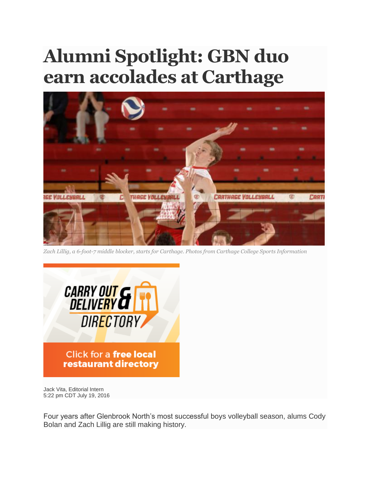## **Alumni Spotlight: GBN duo earn accolades at Carthage**



*Zach Lillig, a 6-foot-7 middle blocker, starts for Carthage. Photos from Carthage College Sports Information*



Jack Vita, Editorial Intern 5:22 pm CDT July 19, 2016

Four years after Glenbrook North's most successful boys volleyball season, alums Cody Bolan and Zach Lillig are still making history.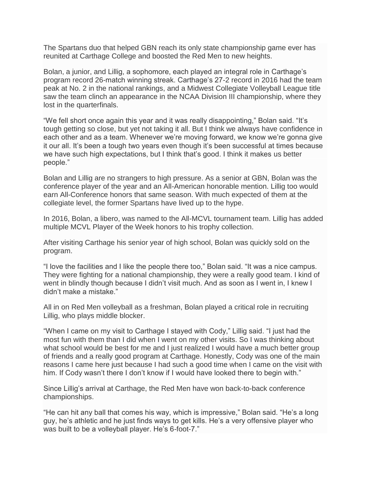The Spartans duo that helped GBN reach its only state championship game ever has reunited at Carthage College and boosted the Red Men to new heights.

Bolan, a junior, and Lillig, a sophomore, each played an integral role in Carthage's program record 26-match winning streak. Carthage's 27-2 record in 2016 had the team peak at No. 2 in the national rankings, and a Midwest Collegiate Volleyball League title saw the team clinch an appearance in the NCAA Division III championship, where they lost in the quarterfinals.

"We fell short once again this year and it was really disappointing," Bolan said. "It's tough getting so close, but yet not taking it all. But I think we always have confidence in each other and as a team. Whenever we're moving forward, we know we're gonna give it our all. It's been a tough two years even though it's been successful at times because we have such high expectations, but I think that's good. I think it makes us better people."

Bolan and Lillig are no strangers to high pressure. As a senior at GBN, Bolan was the conference player of the year and an All-American honorable mention. Lillig too would earn All-Conference honors that same season. With much expected of them at the collegiate level, the former Spartans have lived up to the hype.

In 2016, Bolan, a libero, was named to the All-MCVL tournament team. Lillig has added multiple MCVL Player of the Week honors to his trophy collection.

After visiting Carthage his senior year of high school, Bolan was quickly sold on the program.

"I love the facilities and I like the people there too," Bolan said. "It was a nice campus. They were fighting for a national championship, they were a really good team. I kind of went in blindly though because I didn't visit much. And as soon as I went in, I knew I didn't make a mistake."

All in on Red Men volleyball as a freshman, Bolan played a critical role in recruiting Lillig, who plays middle blocker.

"When I came on my visit to Carthage I stayed with Cody," Lillig said. "I just had the most fun with them than I did when I went on my other visits. So I was thinking about what school would be best for me and I just realized I would have a much better group of friends and a really good program at Carthage. Honestly, Cody was one of the main reasons I came here just because I had such a good time when I came on the visit with him. If Cody wasn't there I don't know if I would have looked there to begin with."

Since Lillig's arrival at Carthage, the Red Men have won back-to-back conference championships.

"He can hit any ball that comes his way, which is impressive," Bolan said. "He's a long guy, he's athletic and he just finds ways to get kills. He's a very offensive player who was built to be a volleyball player. He's 6-foot-7."